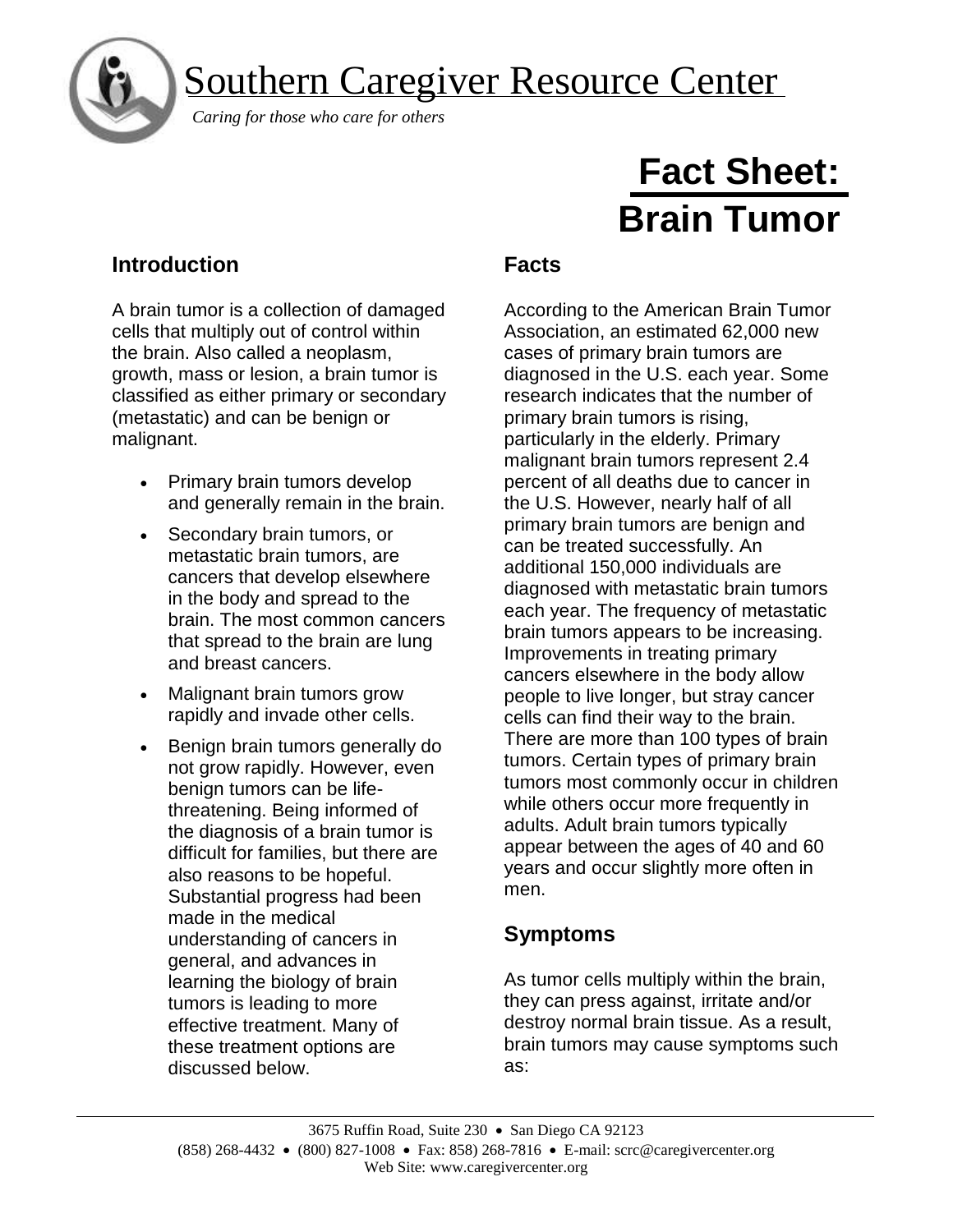

## Southern Caregiver Resource Center

*Caring for those who care for others*

# **Fact Sheet: Brain Tumor**

## **Introduction**

A brain tumor is a collection of damaged cells that multiply out of control within the brain. Also called a neoplasm, growth, mass or lesion, a brain tumor is classified as either primary or secondary (metastatic) and can be benign or malignant.

- Primary brain tumors develop and generally remain in the brain.
- Secondary brain tumors, or metastatic brain tumors, are cancers that develop elsewhere in the body and spread to the brain. The most common cancers that spread to the brain are lung and breast cancers.
- Malignant brain tumors grow rapidly and invade other cells.
- Benign brain tumors generally do not grow rapidly. However, even benign tumors can be lifethreatening. Being informed of the diagnosis of a brain tumor is difficult for families, but there are also reasons to be hopeful. Substantial progress had been made in the medical understanding of cancers in general, and advances in learning the biology of brain tumors is leading to more effective treatment. Many of these treatment options are discussed below.

## **Facts**

According to the American Brain Tumor Association, an estimated 62,000 new cases of primary brain tumors are diagnosed in the U.S. each year. Some research indicates that the number of primary brain tumors is rising, particularly in the elderly. Primary malignant brain tumors represent 2.4 percent of all deaths due to cancer in the U.S. However, nearly half of all primary brain tumors are benign and can be treated successfully. An additional 150,000 individuals are diagnosed with metastatic brain tumors each year. The frequency of metastatic brain tumors appears to be increasing. Improvements in treating primary cancers elsewhere in the body allow people to live longer, but stray cancer cells can find their way to the brain. There are more than 100 types of brain tumors. Certain types of primary brain tumors most commonly occur in children while others occur more frequently in adults. Adult brain tumors typically appear between the ages of 40 and 60 years and occur slightly more often in men.

## **Symptoms**

As tumor cells multiply within the brain, they can press against, irritate and/or destroy normal brain tissue. As a result, brain tumors may cause symptoms such as: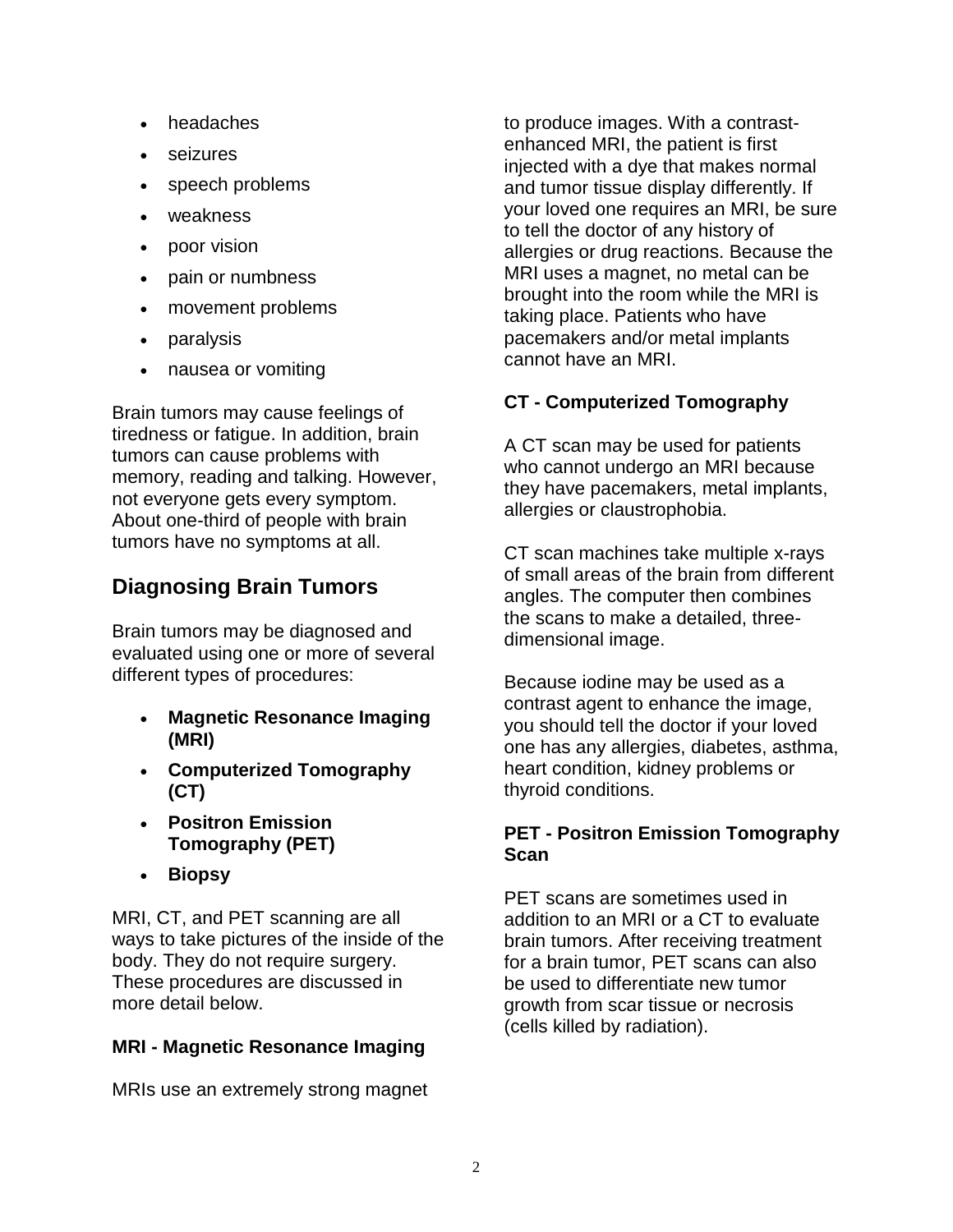- headaches
- seizures
- speech problems
- weakness
- poor vision
- pain or numbness
- movement problems
- paralysis
- nausea or vomiting

Brain tumors may cause feelings of tiredness or fatigue. In addition, brain tumors can cause problems with memory, reading and talking. However, not everyone gets every symptom. About one-third of people with brain tumors have no symptoms at all.

## **Diagnosing Brain Tumors**

Brain tumors may be diagnosed and evaluated using one or more of several different types of procedures:

- **Magnetic Resonance Imaging (MRI)**
- **Computerized Tomography (CT)**
- **Positron Emission Tomography (PET)**
- **Biopsy**

MRI, CT, and PET scanning are all ways to take pictures of the inside of the body. They do not require surgery. These procedures are discussed in more detail below.

#### **MRI - Magnetic Resonance Imaging**

MRIs use an extremely strong magnet

to produce images. With a contrastenhanced MRI, the patient is first injected with a dye that makes normal and tumor tissue display differently. If your loved one requires an MRI, be sure to tell the doctor of any history of allergies or drug reactions. Because the MRI uses a magnet, no metal can be brought into the room while the MRI is taking place. Patients who have pacemakers and/or metal implants cannot have an MRI.

#### **CT - Computerized Tomography**

A CT scan may be used for patients who cannot undergo an MRI because they have pacemakers, metal implants, allergies or claustrophobia.

CT scan machines take multiple x-rays of small areas of the brain from different angles. The computer then combines the scans to make a detailed, threedimensional image.

Because iodine may be used as a contrast agent to enhance the image, you should tell the doctor if your loved one has any allergies, diabetes, asthma, heart condition, kidney problems or thyroid conditions.

#### **PET - Positron Emission Tomography Scan**

PET scans are sometimes used in addition to an MRI or a CT to evaluate brain tumors. After receiving treatment for a brain tumor, PET scans can also be used to differentiate new tumor growth from scar tissue or necrosis (cells killed by radiation).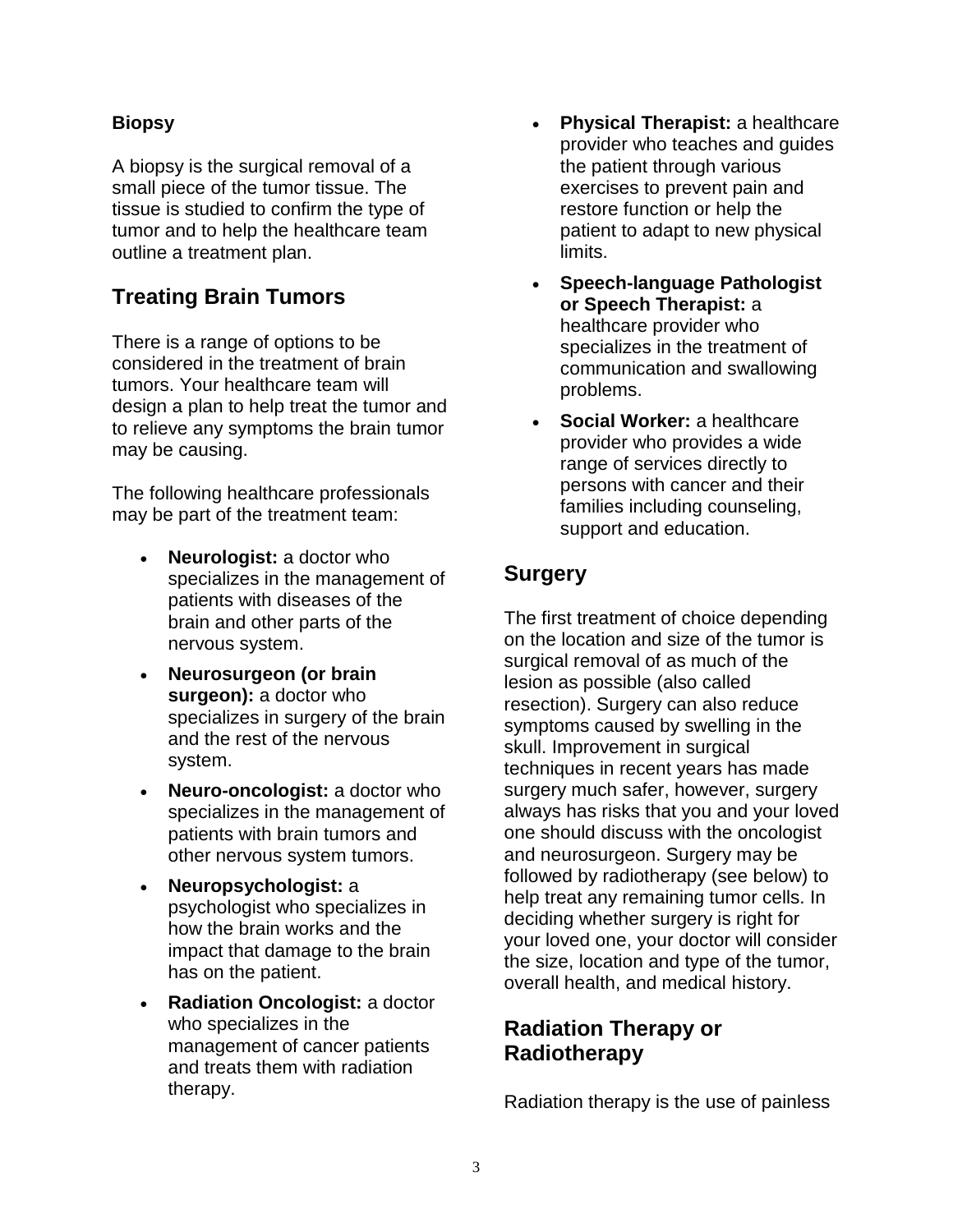#### **Biopsy**

A biopsy is the surgical removal of a small piece of the tumor tissue. The tissue is studied to confirm the type of tumor and to help the healthcare team outline a treatment plan.

## **Treating Brain Tumors**

There is a range of options to be considered in the treatment of brain tumors. Your healthcare team will design a plan to help treat the tumor and to relieve any symptoms the brain tumor may be causing.

The following healthcare professionals may be part of the treatment team:

- **Neurologist:** a doctor who specializes in the management of patients with diseases of the brain and other parts of the nervous system.
- **Neurosurgeon (or brain surgeon):** a doctor who specializes in surgery of the brain and the rest of the nervous system.
- **Neuro-oncologist:** a doctor who specializes in the management of patients with brain tumors and other nervous system tumors.
- **Neuropsychologist:** a psychologist who specializes in how the brain works and the impact that damage to the brain has on the patient.
- **Radiation Oncologist:** a doctor who specializes in the management of cancer patients and treats them with radiation therapy.
- **Physical Therapist:** a healthcare provider who teaches and guides the patient through various exercises to prevent pain and restore function or help the patient to adapt to new physical limits.
- **Speech-language Pathologist or Speech Therapist:** a healthcare provider who specializes in the treatment of communication and swallowing problems.
- **Social Worker:** a healthcare provider who provides a wide range of services directly to persons with cancer and their families including counseling, support and education.

## **Surgery**

The first treatment of choice depending on the location and size of the tumor is surgical removal of as much of the lesion as possible (also called resection). Surgery can also reduce symptoms caused by swelling in the skull. Improvement in surgical techniques in recent years has made surgery much safer, however, surgery always has risks that you and your loved one should discuss with the oncologist and neurosurgeon. Surgery may be followed by radiotherapy (see below) to help treat any remaining tumor cells. In deciding whether surgery is right for your loved one, your doctor will consider the size, location and type of the tumor, overall health, and medical history.

## **Radiation Therapy or Radiotherapy**

Radiation therapy is the use of painless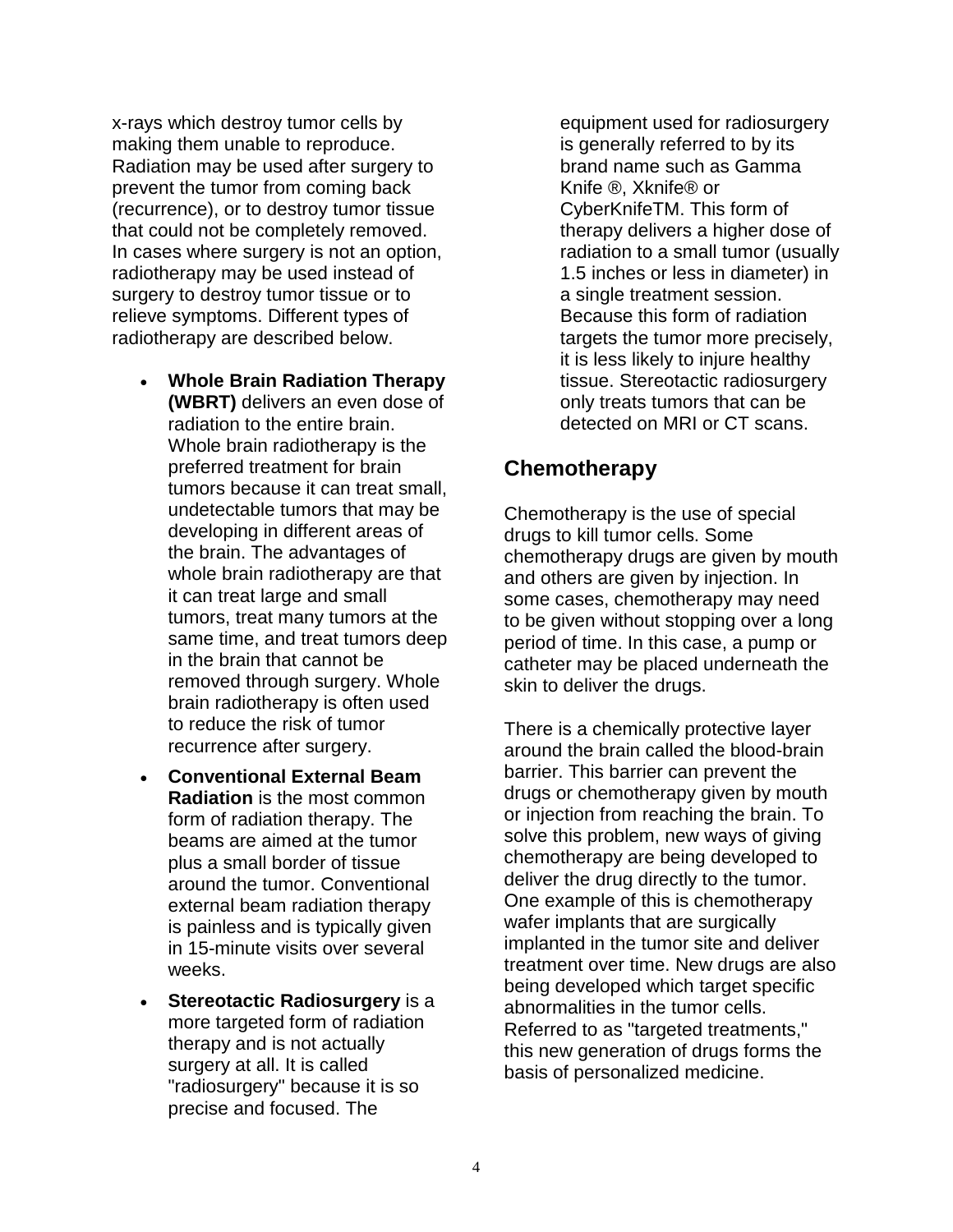x-rays which destroy tumor cells by making them unable to reproduce. Radiation may be used after surgery to prevent the tumor from coming back (recurrence), or to destroy tumor tissue that could not be completely removed. In cases where surgery is not an option, radiotherapy may be used instead of surgery to destroy tumor tissue or to relieve symptoms. Different types of radiotherapy are described below.

- **Whole Brain Radiation Therapy (WBRT)** delivers an even dose of radiation to the entire brain. Whole brain radiotherapy is the preferred treatment for brain tumors because it can treat small, undetectable tumors that may be developing in different areas of the brain. The advantages of whole brain radiotherapy are that it can treat large and small tumors, treat many tumors at the same time, and treat tumors deep in the brain that cannot be removed through surgery. Whole brain radiotherapy is often used to reduce the risk of tumor recurrence after surgery.
- **Conventional External Beam Radiation** is the most common form of radiation therapy. The beams are aimed at the tumor plus a small border of tissue around the tumor. Conventional external beam radiation therapy is painless and is typically given in 15-minute visits over several weeks.
- **Stereotactic Radiosurgery** is a more targeted form of radiation therapy and is not actually surgery at all. It is called "radiosurgery" because it is so precise and focused. The

equipment used for radiosurgery is generally referred to by its brand name such as Gamma Knife ®, Xknife® or CyberKnifeTM. This form of therapy delivers a higher dose of radiation to a small tumor (usually 1.5 inches or less in diameter) in a single treatment session. Because this form of radiation targets the tumor more precisely, it is less likely to injure healthy tissue. Stereotactic radiosurgery only treats tumors that can be detected on MRI or CT scans.

## **Chemotherapy**

Chemotherapy is the use of special drugs to kill tumor cells. Some chemotherapy drugs are given by mouth and others are given by injection. In some cases, chemotherapy may need to be given without stopping over a long period of time. In this case, a pump or catheter may be placed underneath the skin to deliver the drugs.

There is a chemically protective layer around the brain called the blood-brain barrier. This barrier can prevent the drugs or chemotherapy given by mouth or injection from reaching the brain. To solve this problem, new ways of giving chemotherapy are being developed to deliver the drug directly to the tumor. One example of this is chemotherapy wafer implants that are surgically implanted in the tumor site and deliver treatment over time. New drugs are also being developed which target specific abnormalities in the tumor cells. Referred to as "targeted treatments." this new generation of drugs forms the basis of personalized medicine.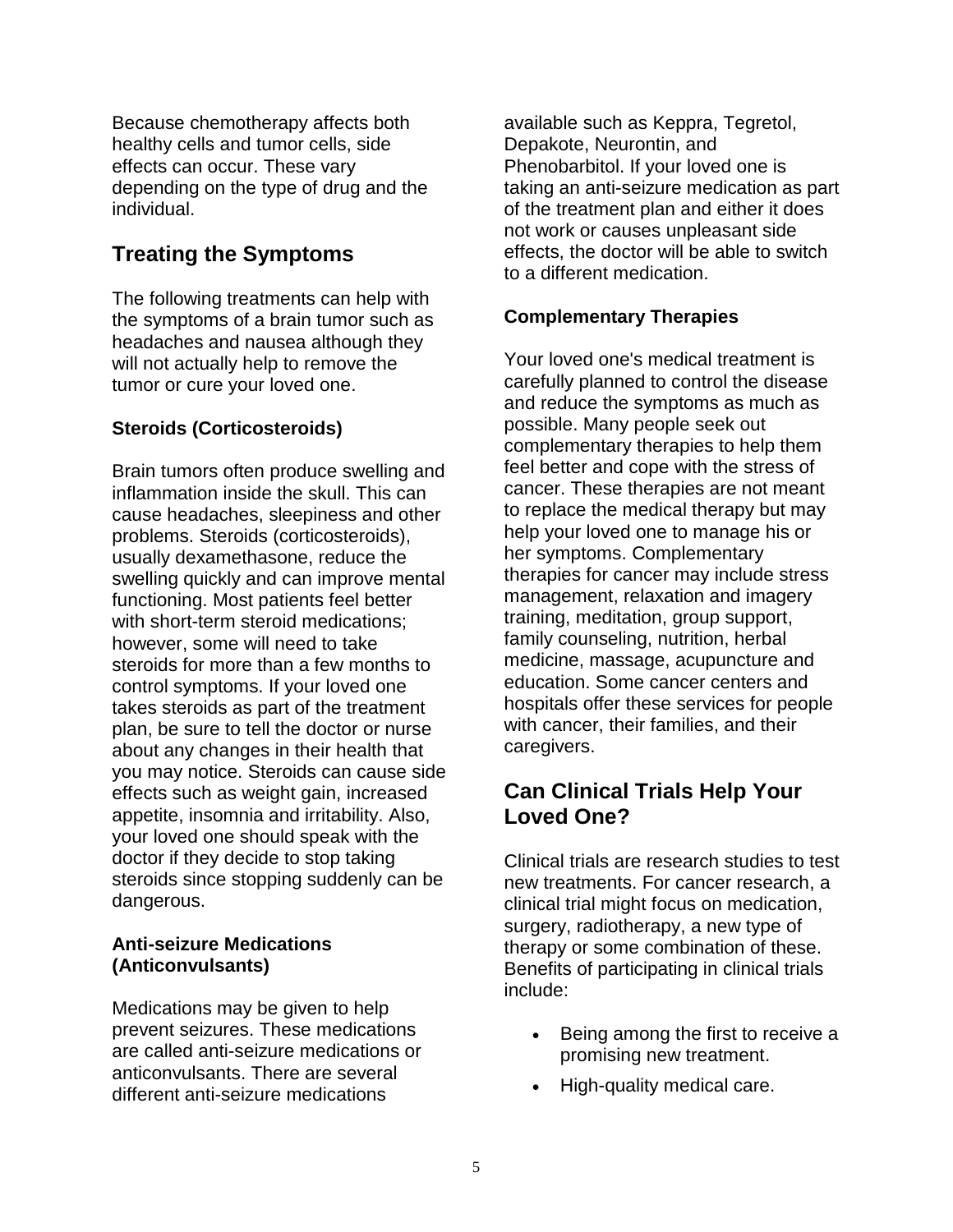Because chemotherapy affects both healthy cells and tumor cells, side effects can occur. These vary depending on the type of drug and the individual.

## **Treating the Symptoms**

The following treatments can help with the symptoms of a brain tumor such as headaches and nausea although they will not actually help to remove the tumor or cure your loved one.

#### **Steroids (Corticosteroids)**

Brain tumors often produce swelling and inflammation inside the skull. This can cause headaches, sleepiness and other problems. Steroids (corticosteroids), usually dexamethasone, reduce the swelling quickly and can improve mental functioning. Most patients feel better with short-term steroid medications: however, some will need to take steroids for more than a few months to control symptoms. If your loved one takes steroids as part of the treatment plan, be sure to tell the doctor or nurse about any changes in their health that you may notice. Steroids can cause side effects such as weight gain, increased appetite, insomnia and irritability. Also, your loved one should speak with the doctor if they decide to stop taking steroids since stopping suddenly can be dangerous.

#### **Anti-seizure Medications (Anticonvulsants)**

Medications may be given to help prevent seizures. These medications are called anti-seizure medications or anticonvulsants. There are several different anti-seizure medications

available such as Keppra, Tegretol, Depakote, Neurontin, and Phenobarbitol. If your loved one is taking an anti-seizure medication as part of the treatment plan and either it does not work or causes unpleasant side effects, the doctor will be able to switch to a different medication.

#### **Complementary Therapies**

Your loved one's medical treatment is carefully planned to control the disease and reduce the symptoms as much as possible. Many people seek out complementary therapies to help them feel better and cope with the stress of cancer. These therapies are not meant to replace the medical therapy but may help your loved one to manage his or her symptoms. Complementary therapies for cancer may include stress management, relaxation and imagery training, meditation, group support, family counseling, nutrition, herbal medicine, massage, acupuncture and education. Some cancer centers and hospitals offer these services for people with cancer, their families, and their caregivers.

## **Can Clinical Trials Help Your Loved One?**

Clinical trials are research studies to test new treatments. For cancer research, a clinical trial might focus on medication, surgery, radiotherapy, a new type of therapy or some combination of these. Benefits of participating in clinical trials include:

- Being among the first to receive a promising new treatment.
- High-quality medical care.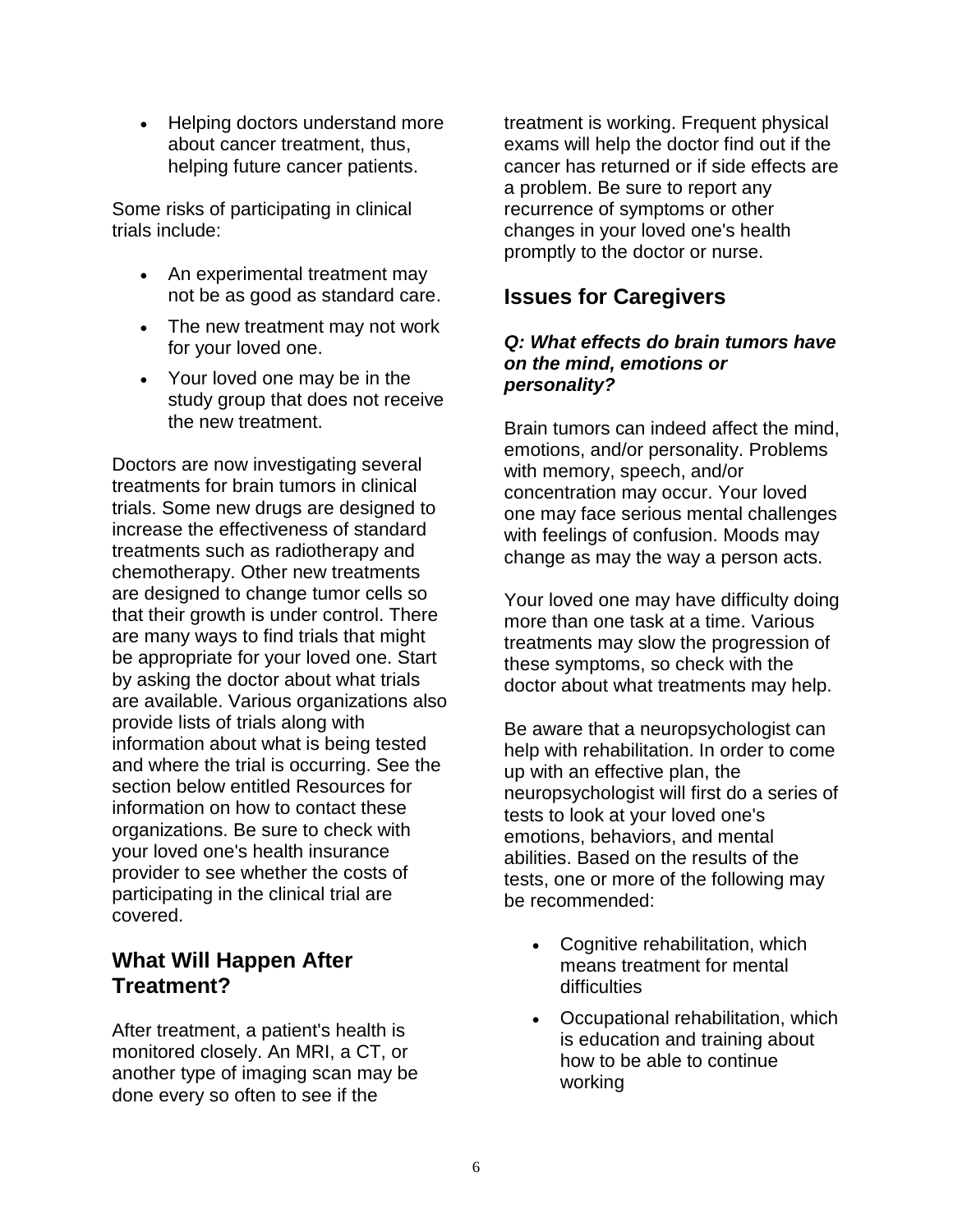• Helping doctors understand more about cancer treatment, thus, helping future cancer patients.

Some risks of participating in clinical trials include:

- An experimental treatment may not be as good as standard care.
- The new treatment may not work for your loved one.
- Your loved one may be in the study group that does not receive the new treatment.

Doctors are now investigating several treatments for brain tumors in clinical trials. Some new drugs are designed to increase the effectiveness of standard treatments such as radiotherapy and chemotherapy. Other new treatments are designed to change tumor cells so that their growth is under control. There are many ways to find trials that might be appropriate for your loved one. Start by asking the doctor about what trials are available. Various organizations also provide lists of trials along with information about what is being tested and where the trial is occurring. See the section below entitled Resources for information on how to contact these organizations. Be sure to check with your loved one's health insurance provider to see whether the costs of participating in the clinical trial are covered.

## **What Will Happen After Treatment?**

After treatment, a patient's health is monitored closely. An MRI, a CT, or another type of imaging scan may be done every so often to see if the

treatment is working. Frequent physical exams will help the doctor find out if the cancer has returned or if side effects are a problem. Be sure to report any recurrence of symptoms or other changes in your loved one's health promptly to the doctor or nurse.

#### **Issues for Caregivers**

#### *Q: What effects do brain tumors have on the mind, emotions or personality?*

Brain tumors can indeed affect the mind, emotions, and/or personality. Problems with memory, speech, and/or concentration may occur. Your loved one may face serious mental challenges with feelings of confusion. Moods may change as may the way a person acts.

Your loved one may have difficulty doing more than one task at a time. Various treatments may slow the progression of these symptoms, so check with the doctor about what treatments may help.

Be aware that a neuropsychologist can help with rehabilitation. In order to come up with an effective plan, the neuropsychologist will first do a series of tests to look at your loved one's emotions, behaviors, and mental abilities. Based on the results of the tests, one or more of the following may be recommended:

- Cognitive rehabilitation, which means treatment for mental difficulties
- Occupational rehabilitation, which is education and training about how to be able to continue working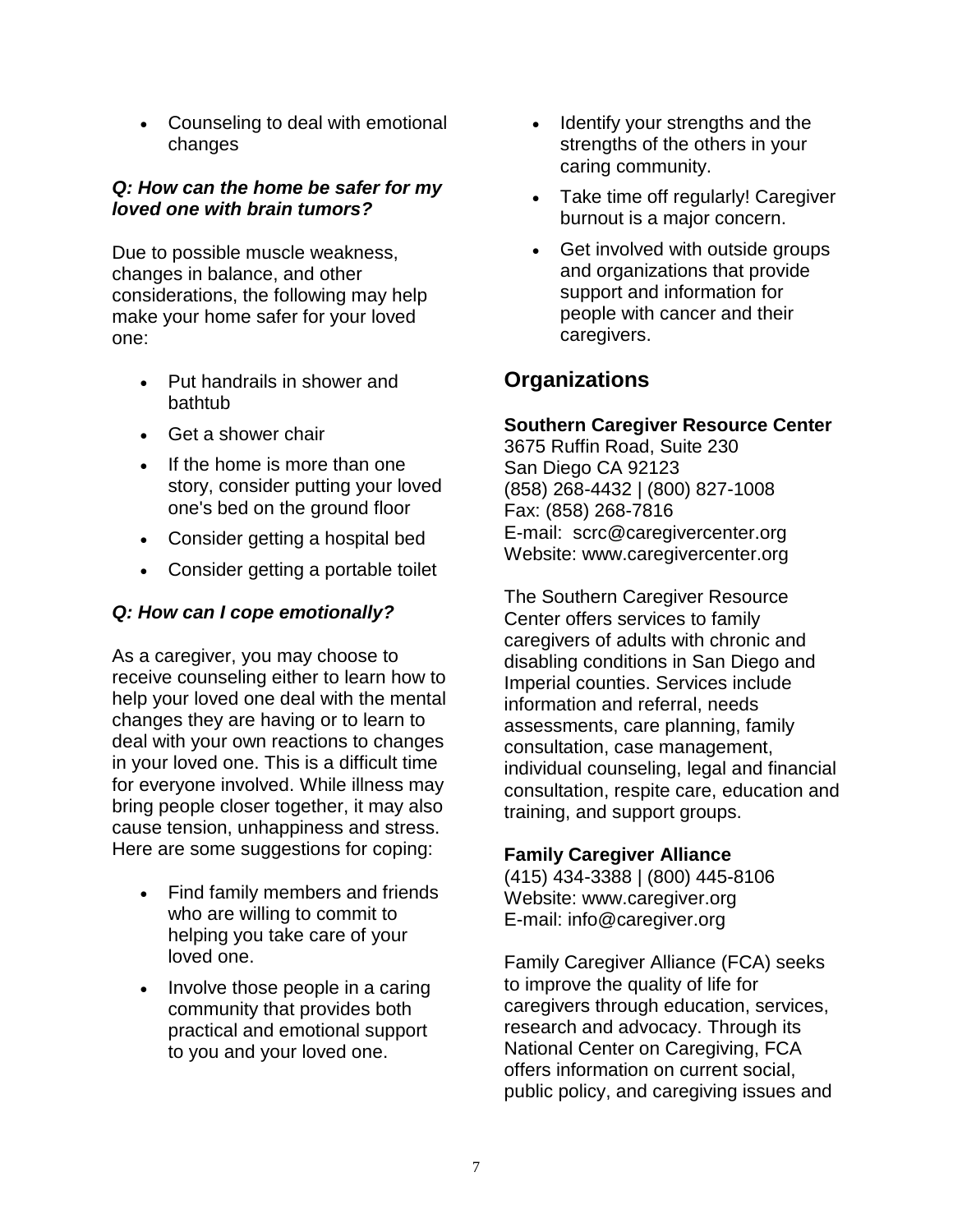• Counseling to deal with emotional changes

#### *Q: How can the home be safer for my loved one with brain tumors?*

Due to possible muscle weakness, changes in balance, and other considerations, the following may help make your home safer for your loved one:

- Put handrails in shower and bathtub
- Get a shower chair
- If the home is more than one story, consider putting your loved one's bed on the ground floor
- Consider getting a hospital bed
- Consider getting a portable toilet

#### *Q: How can I cope emotionally?*

As a caregiver, you may choose to receive counseling either to learn how to help your loved one deal with the mental changes they are having or to learn to deal with your own reactions to changes in your loved one. This is a difficult time for everyone involved. While illness may bring people closer together, it may also cause tension, unhappiness and stress. Here are some suggestions for coping:

- Find family members and friends who are willing to commit to helping you take care of your loved one.
- Involve those people in a caring community that provides both practical and emotional support to you and your loved one.
- Identify your strengths and the strengths of the others in your caring community.
- Take time off regularly! Caregiver burnout is a major concern.
- Get involved with outside groups and organizations that provide support and information for people with cancer and their caregivers.

## **Organizations**

#### **Southern Caregiver Resource Center**

3675 Ruffin Road, Suite 230 San Diego CA 92123 (858) 268-4432 | (800) 827-1008 Fax: (858) 268-7816 E-mail: [scrc@caregivercenter.org](mailto:scrc@caregivercenter.org) Website: www.caregivercenter.org

The Southern Caregiver Resource Center offers services to family caregivers of adults with chronic and disabling conditions in San Diego and Imperial counties. Services include information and referral, needs assessments, care planning, family consultation, case management, individual counseling, legal and financial consultation, respite care, education and training, and support groups.

#### **Family Caregiver Alliance**

(415) 434-3388 | (800) 445-8106 Website: www.caregiver.org E-mail: [info@caregiver.org](mailto:info@caregiver.org)

Family Caregiver Alliance (FCA) seeks to improve the quality of life for caregivers through education, services, research and advocacy. Through its National Center on Caregiving, FCA offers information on current social, public policy, and caregiving issues and